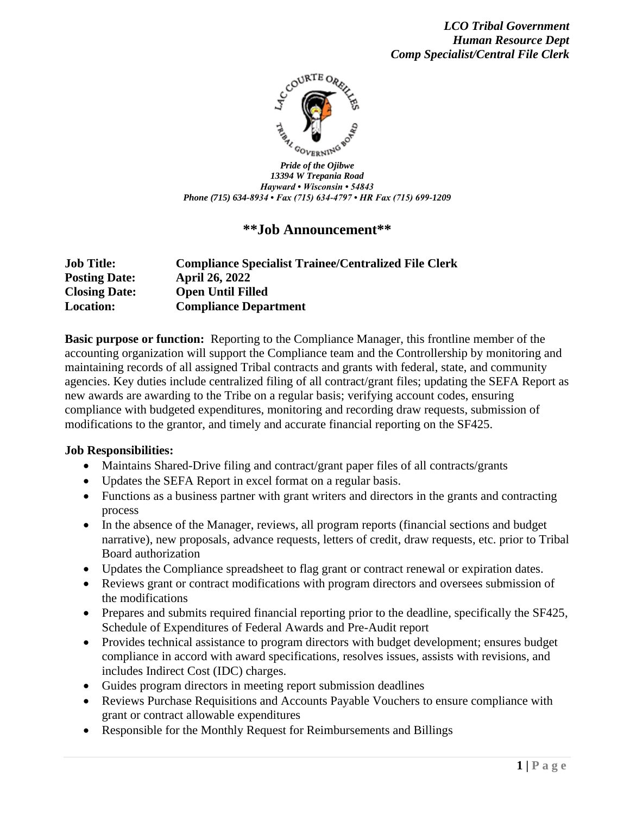

*Pride of the Ojibwe 13394 W Trepania Road Hayward • Wisconsin • 54843 Phone (715) 634-8934 • Fax (715) 634-4797 • HR Fax (715) 699-1209*

## **\*\*Job Announcement\*\***

| <b>Job Title:</b>    | <b>Compliance Specialist Trainee/Centralized File Clerk</b> |
|----------------------|-------------------------------------------------------------|
| <b>Posting Date:</b> | <b>April 26, 2022</b>                                       |
| <b>Closing Date:</b> | <b>Open Until Filled</b>                                    |
| <b>Location:</b>     | <b>Compliance Department</b>                                |

**Basic purpose or function:** Reporting to the Compliance Manager, this frontline member of the accounting organization will support the Compliance team and the Controllership by monitoring and maintaining records of all assigned Tribal contracts and grants with federal, state, and community agencies. Key duties include centralized filing of all contract/grant files; updating the SEFA Report as new awards are awarding to the Tribe on a regular basis; verifying account codes, ensuring compliance with budgeted expenditures, monitoring and recording draw requests, submission of modifications to the grantor, and timely and accurate financial reporting on the SF425.

#### **Job Responsibilities:**

- Maintains Shared-Drive filing and contract/grant paper files of all contracts/grants
- Updates the SEFA Report in excel format on a regular basis.
- Functions as a business partner with grant writers and directors in the grants and contracting process
- In the absence of the Manager, reviews, all program reports (financial sections and budget narrative), new proposals, advance requests, letters of credit, draw requests, etc. prior to Tribal Board authorization
- Updates the Compliance spreadsheet to flag grant or contract renewal or expiration dates.
- Reviews grant or contract modifications with program directors and oversees submission of the modifications
- Prepares and submits required financial reporting prior to the deadline, specifically the SF425, Schedule of Expenditures of Federal Awards and Pre-Audit report
- Provides technical assistance to program directors with budget development; ensures budget compliance in accord with award specifications, resolves issues, assists with revisions, and includes Indirect Cost (IDC) charges.
- Guides program directors in meeting report submission deadlines
- Reviews Purchase Requisitions and Accounts Payable Vouchers to ensure compliance with grant or contract allowable expenditures
- Responsible for the Monthly Request for Reimbursements and Billings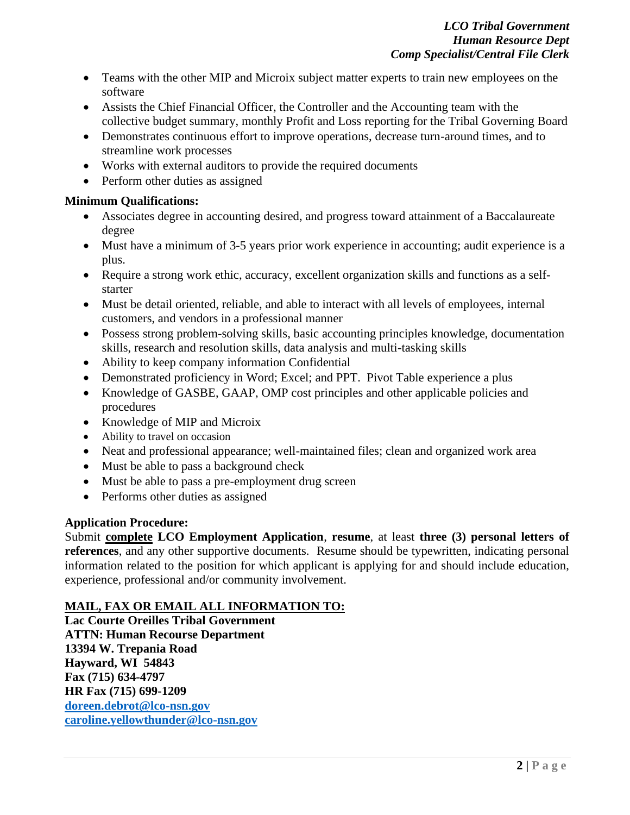- Teams with the other MIP and Microix subject matter experts to train new employees on the software
- Assists the Chief Financial Officer, the Controller and the Accounting team with the collective budget summary, monthly Profit and Loss reporting for the Tribal Governing Board
- Demonstrates continuous effort to improve operations, decrease turn-around times, and to streamline work processes
- Works with external auditors to provide the required documents
- Perform other duties as assigned

## **Minimum Qualifications:**

- Associates degree in accounting desired, and progress toward attainment of a Baccalaureate degree
- Must have a minimum of 3-5 years prior work experience in accounting; audit experience is a plus.
- Require a strong work ethic, accuracy, excellent organization skills and functions as a selfstarter
- Must be detail oriented, reliable, and able to interact with all levels of employees, internal customers, and vendors in a professional manner
- Possess strong problem-solving skills, basic accounting principles knowledge, documentation skills, research and resolution skills, data analysis and multi-tasking skills
- Ability to keep company information Confidential
- Demonstrated proficiency in Word; Excel; and PPT. Pivot Table experience a plus
- Knowledge of GASBE, GAAP, OMP cost principles and other applicable policies and procedures
- Knowledge of MIP and Microix
- Ability to travel on occasion
- Neat and professional appearance; well-maintained files; clean and organized work area
- Must be able to pass a background check
- Must be able to pass a pre-employment drug screen
- Performs other duties as assigned

## **Application Procedure:**

Submit **complete LCO Employment Application**, **resume**, at least **three (3) personal letters of references**, and any other supportive documents. Resume should be typewritten, indicating personal information related to the position for which applicant is applying for and should include education, experience, professional and/or community involvement.

# **MAIL, FAX OR EMAIL ALL INFORMATION TO:**

**Lac Courte Oreilles Tribal Government ATTN: Human Recourse Department 13394 W. Trepania Road Hayward, WI 54843 Fax (715) 634-4797 HR Fax (715) 699-1209 [doreen.debrot@lco-nsn.gov](mailto:doreen.debrot@lco-nsn.gov) [caroline.yellowthunder@lco-nsn.gov](mailto:caroline.yellowthunder@lco-nsn.gov)**